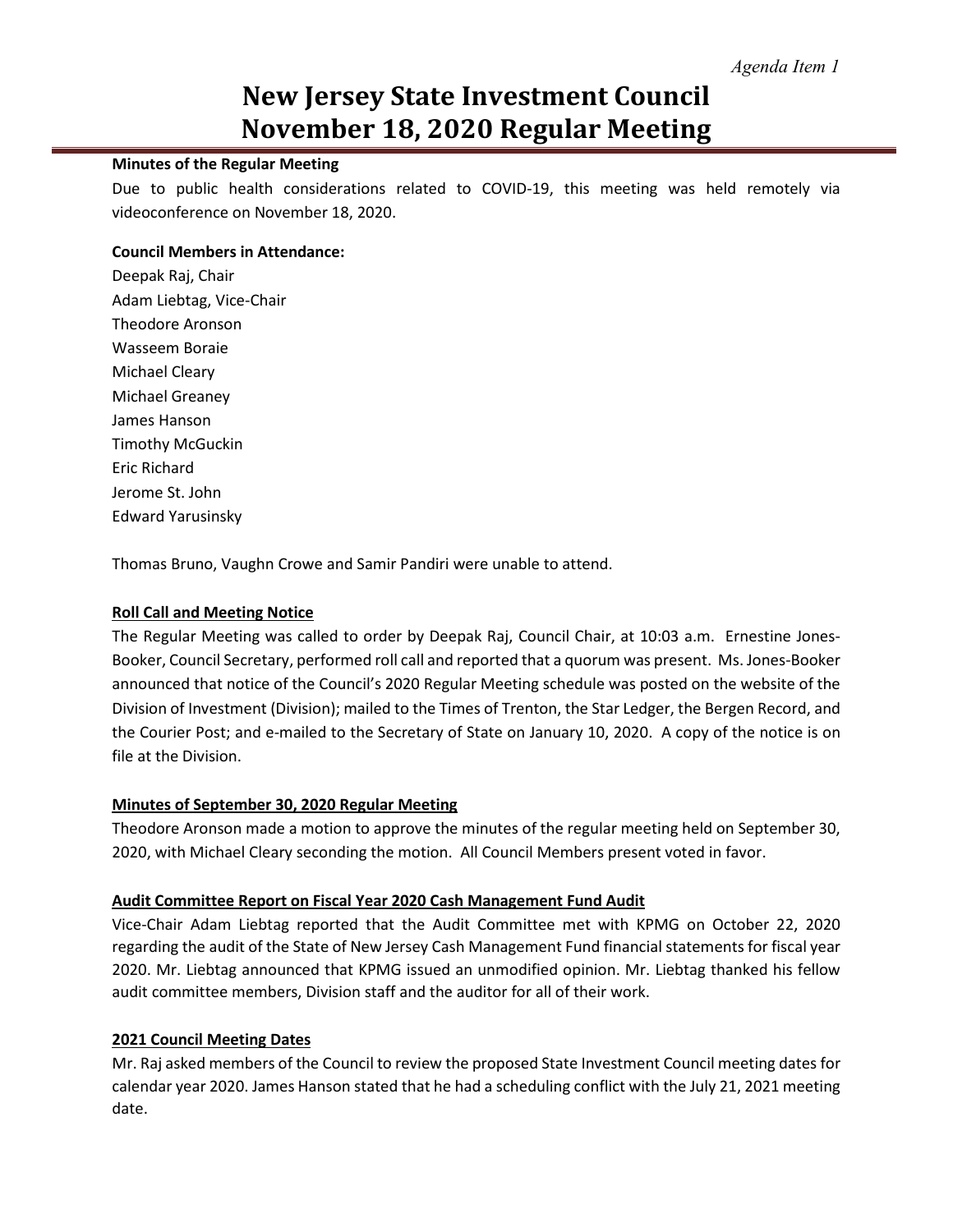## **New Jersey State Investment Council November 18, 2020 Regular Meeting**

#### **Minutes of the Regular Meeting**

Due to public health considerations related to COVID-19, this meeting was held remotely via videoconference on November 18, 2020.

#### **Council Members in Attendance:**

Deepak Raj, Chair Adam Liebtag, Vice-Chair Theodore Aronson Wasseem Boraie Michael Cleary Michael Greaney James Hanson Timothy McGuckin Eric Richard Jerome St. John Edward Yarusinsky

Thomas Bruno, Vaughn Crowe and Samir Pandiri were unable to attend.

#### **Roll Call and Meeting Notice**

The Regular Meeting was called to order by Deepak Raj, Council Chair, at 10:03 a.m. Ernestine Jones-Booker, Council Secretary, performed roll call and reported that a quorum was present. Ms. Jones-Booker announced that notice of the Council's 2020 Regular Meeting schedule was posted on the website of the Division of Investment (Division); mailed to the Times of Trenton, the Star Ledger, the Bergen Record, and the Courier Post; and e-mailed to the Secretary of State on January 10, 2020. A copy of the notice is on file at the Division.

## **Minutes of September 30, 2020 Regular Meeting**

Theodore Aronson made a motion to approve the minutes of the regular meeting held on September 30, 2020, with Michael Cleary seconding the motion. All Council Members present voted in favor.

## **Audit Committee Report on Fiscal Year 2020 Cash Management Fund Audit**

Vice-Chair Adam Liebtag reported that the Audit Committee met with KPMG on October 22, 2020 regarding the audit of the State of New Jersey Cash Management Fund financial statements for fiscal year 2020. Mr. Liebtag announced that KPMG issued an unmodified opinion. Mr. Liebtag thanked his fellow audit committee members, Division staff and the auditor for all of their work.

## **2021 Council Meeting Dates**

Mr. Raj asked members of the Council to review the proposed State Investment Council meeting dates for calendar year 2020. James Hanson stated that he had a scheduling conflict with the July 21, 2021 meeting date.